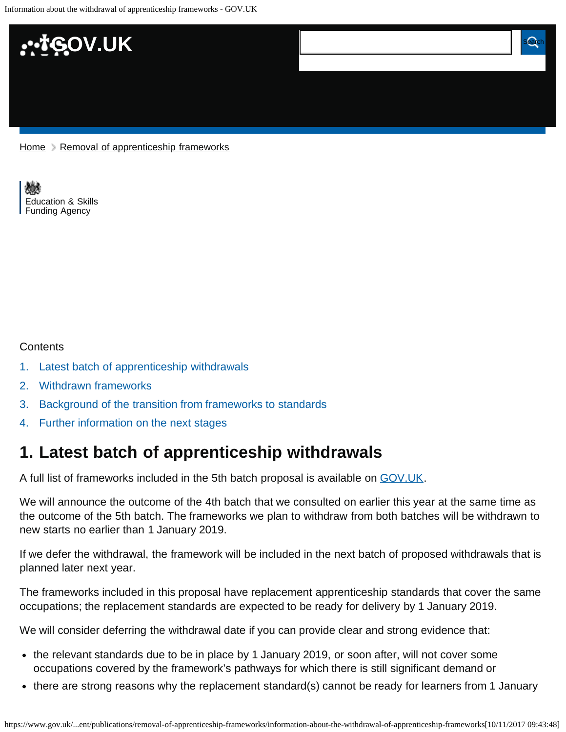

[Home](https://www.gov.uk/) > [Removal of apprenticeship frameworks](https://www.gov.uk/government/publications/removal-of-apprenticeship-frameworks)

[Education & Skills](https://www.gov.uk/government/organisations/education-and-skills-funding-agency)  [Funding Agency](https://www.gov.uk/government/organisations/education-and-skills-funding-agency)

#### **Contents**

- [1.](#page-0-0) [Latest batch of apprenticeship withdrawals](#page-0-0)
- [2.](#page-1-0) [Withdrawn frameworks](#page-1-0)
- [3.](#page-1-1) [Background of the transition from frameworks to standards](#page-1-1)
- [4.](#page-1-2) [Further information on the next stages](#page-1-2)

### <span id="page-0-0"></span>**1. Latest batch of apprenticeship withdrawals**

A full list of frameworks included in the 5th batch proposal is available on [GOV.UK](https://www.gov.uk/government/publications/removal-of-apprenticeship-frameworks).

We will announce the outcome of the 4th batch that we consulted on earlier this year at the same time as the outcome of the 5th batch. The frameworks we plan to withdraw from both batches will be withdrawn to new starts no earlier than 1 January 2019.

If we defer the withdrawal, the framework will be included in the next batch of proposed withdrawals that is planned later next year.

The frameworks included in this proposal have replacement apprenticeship standards that cover the same occupations; the replacement standards are expected to be ready for delivery by 1 January 2019.

We will consider deferring the withdrawal date if you can provide clear and strong evidence that:

- the relevant standards due to be in place by 1 January 2019, or soon after, will not cover some occupations covered by the framework's pathways for which there is still significant demand or
- there are strong reasons why the replacement standard(s) cannot be ready for learners from 1 January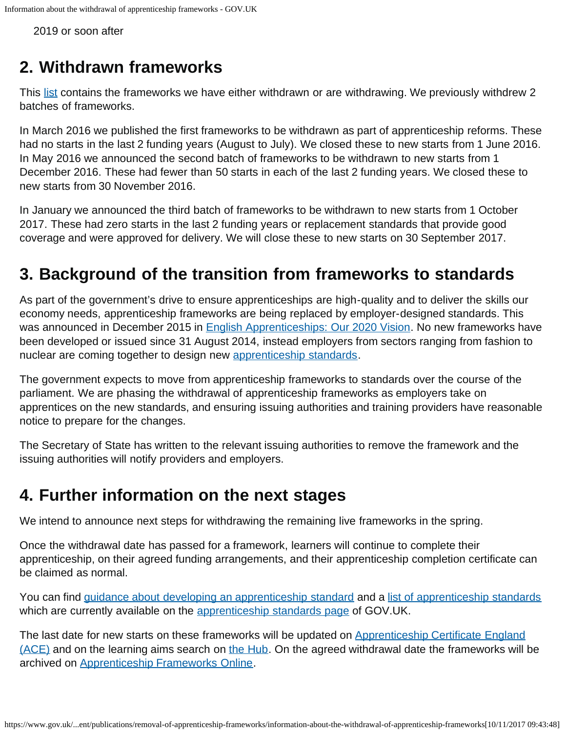2019 or soon after

# <span id="page-1-0"></span>**2. Withdrawn frameworks**

This [list](https://www.gov.uk/government/publications/removal-of-apprenticeship-frameworks) contains the frameworks we have either withdrawn or are withdrawing. We previously withdrew 2 batches of frameworks.

In March 2016 we published the first frameworks to be withdrawn as part of apprenticeship reforms. These had no starts in the last 2 funding years (August to July). We closed these to new starts from 1 June 2016. In May 2016 we announced the second batch of frameworks to be withdrawn to new starts from 1 December 2016. These had fewer than 50 starts in each of the last 2 funding years. We closed these to new starts from 30 November 2016.

In January we announced the third batch of frameworks to be withdrawn to new starts from 1 October 2017. These had zero starts in the last 2 funding years or replacement standards that provide good coverage and were approved for delivery. We will close these to new starts on 30 September 2017.

# <span id="page-1-1"></span>**3. Background of the transition from frameworks to standards**

As part of the government's drive to ensure apprenticeships are high-quality and to deliver the skills our economy needs, apprenticeship frameworks are being replaced by employer-designed standards. This was announced in December 2015 in [English Apprenticeships: Our 2020 Vision](https://www.gov.uk/government/publications/apprenticeships-in-england-vision-for-2020). No new frameworks have been developed or issued since 31 August 2014, instead employers from sectors ranging from fashion to nuclear are coming together to design new [apprenticeship standards](https://www.gov.uk/government/collections/apprenticeship-standards).

The government expects to move from apprenticeship frameworks to standards over the course of the parliament. We are phasing the withdrawal of apprenticeship frameworks as employers take on apprentices on the new standards, and ensuring issuing authorities and training providers have reasonable notice to prepare for the changes.

The Secretary of State has written to the relevant issuing authorities to remove the framework and the issuing authorities will notify providers and employers.

### <span id="page-1-2"></span>**4. Further information on the next stages**

We intend to announce next steps for withdrawing the remaining live frameworks in the spring.

Once the withdrawal date has passed for a framework, learners will continue to complete their apprenticeship, on their agreed funding arrangements, and their apprenticeship completion certificate can be claimed as normal.

You can find [guidance about developing an apprenticeship standard](https://www.gov.uk/government/publications/future-of-apprenticeships-in-england-guidance-for-trailblazers) and a [list of apprenticeship standards](https://www.gov.uk/government/publications/apprenticeship-standards-list-of-occupations-available) which are currently available on the [apprenticeship standards page](https://www.gov.uk/government/collections/apprenticeship-standards) of GOV.UK.

The last date for new starts on these frameworks will be updated on [Apprenticeship Certificate England](https://acecerts.co.uk/web/) [\(ACE\)](https://acecerts.co.uk/web/) and on the learning aims search on [the Hub.](https://hub.imservices.org.uk/Learning%20Aims/Pages/default.aspx) On the agreed withdrawal date the frameworks will be archived on [Apprenticeship Frameworks Online.](http://www.afo.sscalliance.org/)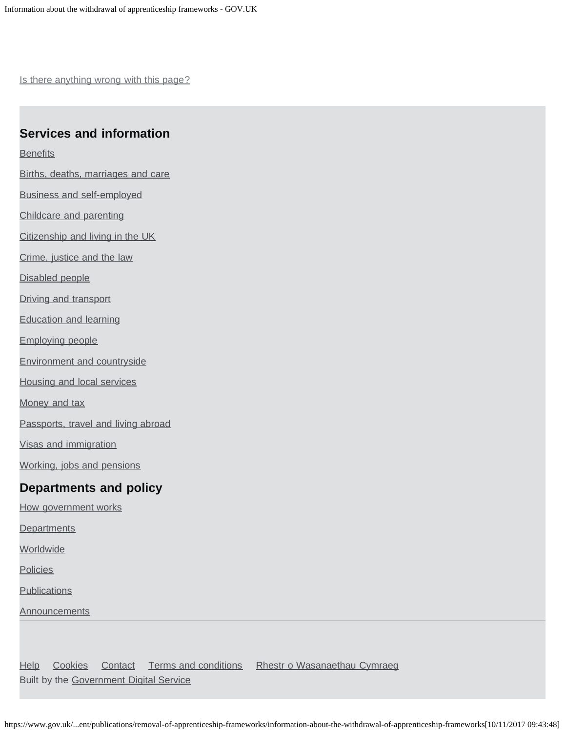Is there anything wrong with this page?

#### **Services and information**

**[Benefits](https://www.gov.uk/browse/benefits)** 

- [Births, deaths, marriages and care](https://www.gov.uk/browse/births-deaths-marriages)
- [Business and self-employed](https://www.gov.uk/browse/business)
- [Childcare and parenting](https://www.gov.uk/browse/childcare-parenting)
- [Citizenship and living in the UK](https://www.gov.uk/browse/citizenship)
- [Crime, justice and the law](https://www.gov.uk/browse/justice)
- [Disabled people](https://www.gov.uk/browse/disabilities)
- [Driving and transport](https://www.gov.uk/browse/driving)
- [Education and learning](https://www.gov.uk/browse/education)
- [Employing people](https://www.gov.uk/browse/employing-people)
- [Environment and countryside](https://www.gov.uk/browse/environment-countryside)
- [Housing and local services](https://www.gov.uk/browse/housing-local-services)
- [Money and tax](https://www.gov.uk/browse/tax)
- [Passports, travel and living abroad](https://www.gov.uk/browse/abroad)
- [Visas and immigration](https://www.gov.uk/browse/visas-immigration)
- [Working, jobs and pensions](https://www.gov.uk/browse/working)

#### **Departments and policy**

- [How government works](https://www.gov.uk/government/how-government-works)
- **[Departments](https://www.gov.uk/government/organisations)**
- **[Worldwide](https://www.gov.uk/world)**
- **[Policies](https://www.gov.uk/government/policies)**
- **[Publications](https://www.gov.uk/government/publications)**
- **[Announcements](https://www.gov.uk/government/announcements)**

[Help](https://www.gov.uk/help) [Cookies](https://www.gov.uk/help/cookies) [Contact](https://www.gov.uk/contact) [Terms and conditions](https://www.gov.uk/help/terms-conditions) [Rhestr o Wasanaethau Cymraeg](https://www.gov.uk/cymraeg) Built by the [Government Digital Service](https://www.gov.uk/government/organisations/government-digital-service)